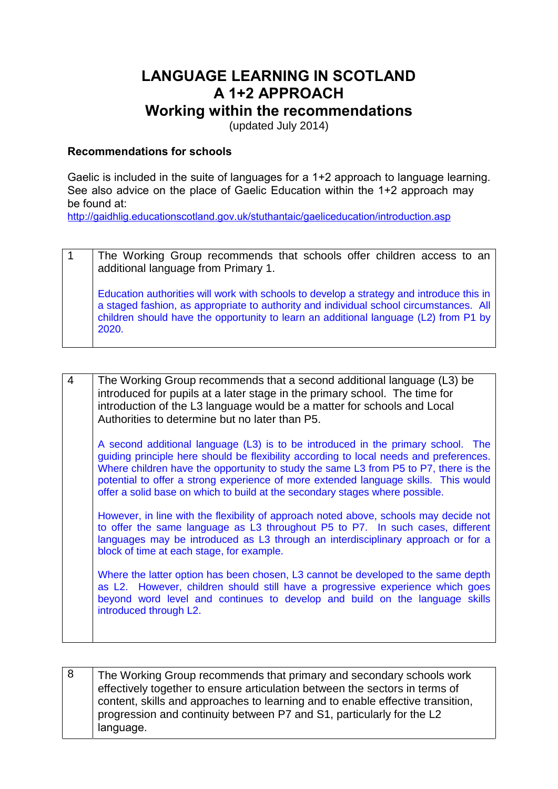# **LANGUAGE LEARNING IN SCOTLAND A 1+2 APPROACH**

# **Working within the recommendations**

(updated July 2014)

#### **Recommendations for schools**

Gaelic is included in the suite of languages for a 1+2 approach to language learning. See also advice on the place of Gaelic Education within the 1+2 approach may be found at:

<http://gaidhlig.educationscotland.gov.uk/stuthantaic/gaeliceducation/introduction.asp>

| The Working Group recommends that schools offer children access to an<br>additional language from Primary 1.                                                                                                                                                                        |
|-------------------------------------------------------------------------------------------------------------------------------------------------------------------------------------------------------------------------------------------------------------------------------------|
| Education authorities will work with schools to develop a strategy and introduce this in<br>a staged fashion, as appropriate to authority and individual school circumstances. All<br>children should have the opportunity to learn an additional language (L2) from P1 by<br>2020. |

| The Working Group recommends that a second additional language (L3) be<br>introduced for pupils at a later stage in the primary school. The time for<br>introduction of the L3 language would be a matter for schools and Local<br>Authorities to determine but no later than P5.                                                                                                                                                         |
|-------------------------------------------------------------------------------------------------------------------------------------------------------------------------------------------------------------------------------------------------------------------------------------------------------------------------------------------------------------------------------------------------------------------------------------------|
| A second additional language (L3) is to be introduced in the primary school. The<br>guiding principle here should be flexibility according to local needs and preferences.<br>Where children have the opportunity to study the same L3 from P5 to P7, there is the<br>potential to offer a strong experience of more extended language skills. This would<br>offer a solid base on which to build at the secondary stages where possible. |
| However, in line with the flexibility of approach noted above, schools may decide not<br>to offer the same language as L3 throughout P5 to P7. In such cases, different<br>languages may be introduced as L3 through an interdisciplinary approach or for a<br>block of time at each stage, for example.                                                                                                                                  |
| Where the latter option has been chosen, L3 cannot be developed to the same depth<br>as L2. However, children should still have a progressive experience which goes<br>beyond word level and continues to develop and build on the language skills<br>introduced through L2.                                                                                                                                                              |
|                                                                                                                                                                                                                                                                                                                                                                                                                                           |

8 The Working Group recommends that primary and secondary schools work effectively together to ensure articulation between the sectors in terms of content, skills and approaches to learning and to enable effective transition, progression and continuity between P7 and S1, particularly for the L2 language.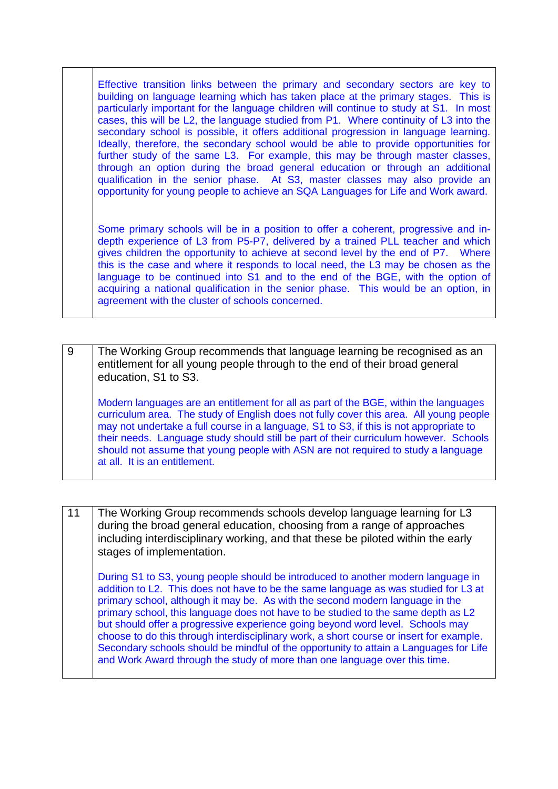Effective transition links between the primary and secondary sectors are key to building on language learning which has taken place at the primary stages. This is particularly important for the language children will continue to study at S1. In most cases, this will be L2, the language studied from P1. Where continuity of L3 into the secondary school is possible, it offers additional progression in language learning. Ideally, therefore, the secondary school would be able to provide opportunities for further study of the same L3. For example, this may be through master classes, through an option during the broad general education or through an additional qualification in the senior phase. At S3, master classes may also provide an opportunity for young people to achieve an SQA Languages for Life and Work award.

Some primary schools will be in a position to offer a coherent, progressive and indepth experience of L3 from P5-P7, delivered by a trained PLL teacher and which gives children the opportunity to achieve at second level by the end of P7. Where this is the case and where it responds to local need, the L3 may be chosen as the language to be continued into S1 and to the end of the BGE, with the option of acquiring a national qualification in the senior phase. This would be an option, in agreement with the cluster of schools concerned.

| -9 | The Working Group recommends that language learning be recognised as an<br>entitlement for all young people through to the end of their broad general<br>education, S1 to S3.                                                                                                                                                                                                                                                                                                           |
|----|-----------------------------------------------------------------------------------------------------------------------------------------------------------------------------------------------------------------------------------------------------------------------------------------------------------------------------------------------------------------------------------------------------------------------------------------------------------------------------------------|
|    | Modern languages are an entitlement for all as part of the BGE, within the languages<br>curriculum area. The study of English does not fully cover this area. All young people<br>may not undertake a full course in a language, S1 to S3, if this is not appropriate to<br>their needs. Language study should still be part of their curriculum however. Schools<br>should not assume that young people with ASN are not required to study a language<br>at all. It is an entitlement. |

11 The Working Group recommends schools develop language learning for L3 during the broad general education, choosing from a range of approaches including interdisciplinary working, and that these be piloted within the early stages of implementation. During S1 to S3, young people should be introduced to another modern language in addition to L2. This does not have to be the same language as was studied for L3 at primary school, although it may be. As with the second modern language in the primary school, this language does not have to be studied to the same depth as L2 but should offer a progressive experience going beyond word level. Schools may choose to do this through interdisciplinary work, a short course or insert for example. Secondary schools should be mindful of the opportunity to attain a Languages for Life and Work Award through the study of more than one language over this time.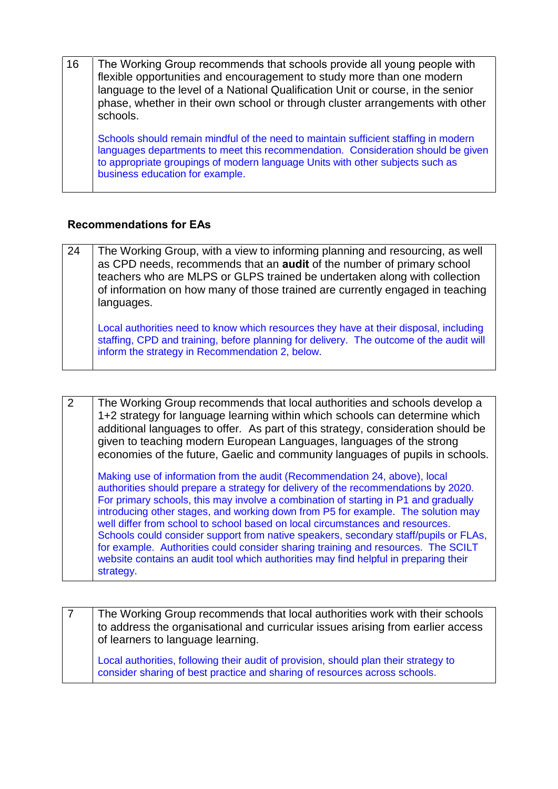| 16 | The Working Group recommends that schools provide all young people with<br>flexible opportunities and encouragement to study more than one modern<br>language to the level of a National Qualification Unit or course, in the senior<br>phase, whether in their own school or through cluster arrangements with other<br>schools. |
|----|-----------------------------------------------------------------------------------------------------------------------------------------------------------------------------------------------------------------------------------------------------------------------------------------------------------------------------------|
|    | Schools should remain mindful of the need to maintain sufficient staffing in modern<br>languages departments to meet this recommendation. Consideration should be given<br>to appropriate groupings of modern language Units with other subjects such as<br>business education for example.                                       |

# **Recommendations for EAs**

| 24 | The Working Group, with a view to informing planning and resourcing, as well<br>as CPD needs, recommends that an <b>audit</b> of the number of primary school<br>teachers who are MLPS or GLPS trained be undertaken along with collection<br>of information on how many of those trained are currently engaged in teaching<br>languages. |
|----|-------------------------------------------------------------------------------------------------------------------------------------------------------------------------------------------------------------------------------------------------------------------------------------------------------------------------------------------|
|    | Local authorities need to know which resources they have at their disposal, including<br>staffing, CPD and training, before planning for delivery. The outcome of the audit will<br>inform the strategy in Recommendation 2, below.                                                                                                       |

| 2 | The Working Group recommends that local authorities and schools develop a<br>1+2 strategy for language learning within which schools can determine which<br>additional languages to offer. As part of this strategy, consideration should be                                                                                                                                                                                                                                                                                                                                                                                                                                                                   |
|---|----------------------------------------------------------------------------------------------------------------------------------------------------------------------------------------------------------------------------------------------------------------------------------------------------------------------------------------------------------------------------------------------------------------------------------------------------------------------------------------------------------------------------------------------------------------------------------------------------------------------------------------------------------------------------------------------------------------|
|   | given to teaching modern European Languages, languages of the strong<br>economies of the future, Gaelic and community languages of pupils in schools.                                                                                                                                                                                                                                                                                                                                                                                                                                                                                                                                                          |
|   | Making use of information from the audit (Recommendation 24, above), local<br>authorities should prepare a strategy for delivery of the recommendations by 2020.<br>For primary schools, this may involve a combination of starting in P1 and gradually<br>introducing other stages, and working down from P5 for example. The solution may<br>well differ from school to school based on local circumstances and resources.<br>Schools could consider support from native speakers, secondary staff/pupils or FLAs,<br>for example. Authorities could consider sharing training and resources. The SCILT<br>website contains an audit tool which authorities may find helpful in preparing their<br>strategy. |

|  | The Working Group recommends that local authorities work with their schools<br>to address the organisational and curricular issues arising from earlier access<br>of learners to language learning. |
|--|-----------------------------------------------------------------------------------------------------------------------------------------------------------------------------------------------------|
|  | Local authorities, following their audit of provision, should plan their strategy to<br>consider sharing of best practice and sharing of resources across schools.                                  |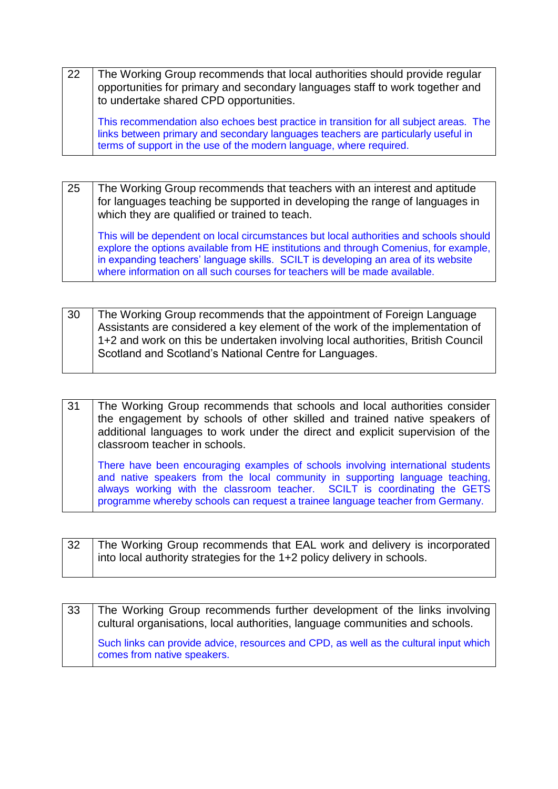| 22 | The Working Group recommends that local authorities should provide regular<br>opportunities for primary and secondary languages staff to work together and<br>to undertake shared CPD opportunities.                                               |
|----|----------------------------------------------------------------------------------------------------------------------------------------------------------------------------------------------------------------------------------------------------|
|    | This recommendation also echoes best practice in transition for all subject areas. The<br>links between primary and secondary languages teachers are particularly useful in<br>terms of support in the use of the modern language, where required. |

25 The Working Group recommends that teachers with an interest and aptitude for languages teaching be supported in developing the range of languages in which they are qualified or trained to teach.

This will be dependent on local circumstances but local authorities and schools should explore the options available from HE institutions and through Comenius, for example, in expanding teachers' language skills. SCILT is developing an area of its website where information on all such courses for teachers will be made available.

| 30 | The Working Group recommends that the appointment of Foreign Language           |
|----|---------------------------------------------------------------------------------|
|    | Assistants are considered a key element of the work of the implementation of    |
|    | 1+2 and work on this be undertaken involving local authorities, British Council |
|    | Scotland and Scotland's National Centre for Languages.                          |

31 The Working Group recommends that schools and local authorities consider the engagement by schools of other skilled and trained native speakers of additional languages to work under the direct and explicit supervision of the classroom teacher in schools. There have been encouraging examples of schools involving international students and native speakers from the local community in supporting language teaching, always working with the classroom teacher. SCILT is coordinating the GETS

| 32 | The Working Group recommends that EAL work and delivery is incorporated |
|----|-------------------------------------------------------------------------|
|    | into local authority strategies for the 1+2 policy delivery in schools. |

programme whereby schools can request a trainee language teacher from Germany.

| 33 | The Working Group recommends further development of the links involving<br>cultural organisations, local authorities, language communities and schools. |
|----|---------------------------------------------------------------------------------------------------------------------------------------------------------|
|    | Such links can provide advice, resources and CPD, as well as the cultural input which<br>comes from native speakers.                                    |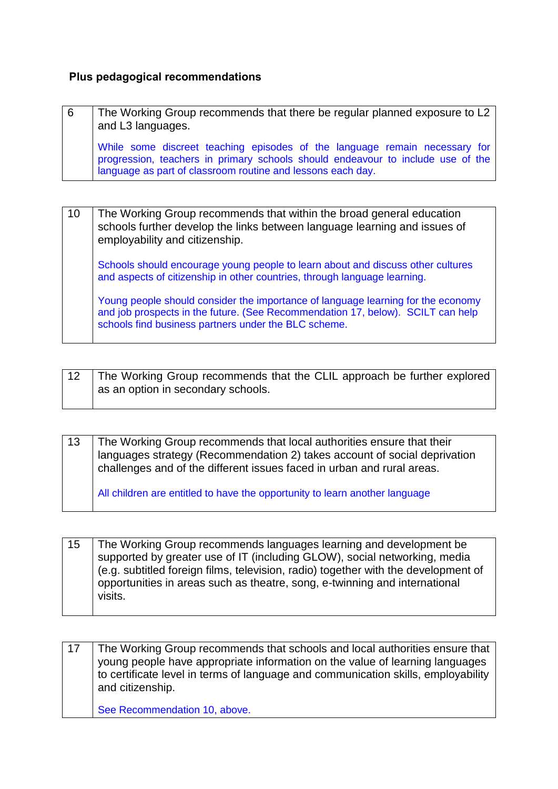#### **Plus pedagogical recommendations**

| 6 | The Working Group recommends that there be regular planned exposure to L2<br>and L3 languages.                                                                                                                               |
|---|------------------------------------------------------------------------------------------------------------------------------------------------------------------------------------------------------------------------------|
|   | While some discreet teaching episodes of the language remain necessary for<br>progression, teachers in primary schools should endeavour to include use of the<br>language as part of classroom routine and lessons each day. |

| 10 | The Working Group recommends that within the broad general education<br>schools further develop the links between language learning and issues of<br>employability and citizenship.                                         |
|----|-----------------------------------------------------------------------------------------------------------------------------------------------------------------------------------------------------------------------------|
|    | Schools should encourage young people to learn about and discuss other cultures<br>and aspects of citizenship in other countries, through language learning.                                                                |
|    | Young people should consider the importance of language learning for the economy<br>and job prospects in the future. (See Recommendation 17, below). SCILT can help<br>schools find business partners under the BLC scheme. |

| 12 | The Working Group recommends that the CLIL approach be further explored |
|----|-------------------------------------------------------------------------|
|    | as an option in secondary schools.                                      |
|    |                                                                         |

13 The Working Group recommends that local authorities ensure that their languages strategy (Recommendation 2) takes account of social deprivation challenges and of the different issues faced in urban and rural areas.

All children are entitled to have the opportunity to learn another language

15 The Working Group recommends languages learning and development be supported by greater use of IT (including GLOW), social networking, media (e.g. subtitled foreign films, television, radio) together with the development of opportunities in areas such as theatre, song, e-twinning and international visits.

| 17 | The Working Group recommends that schools and local authorities ensure that<br>young people have appropriate information on the value of learning languages<br>to certificate level in terms of language and communication skills, employability<br>and citizenship. |
|----|----------------------------------------------------------------------------------------------------------------------------------------------------------------------------------------------------------------------------------------------------------------------|
|    | See Recommendation 10, above.                                                                                                                                                                                                                                        |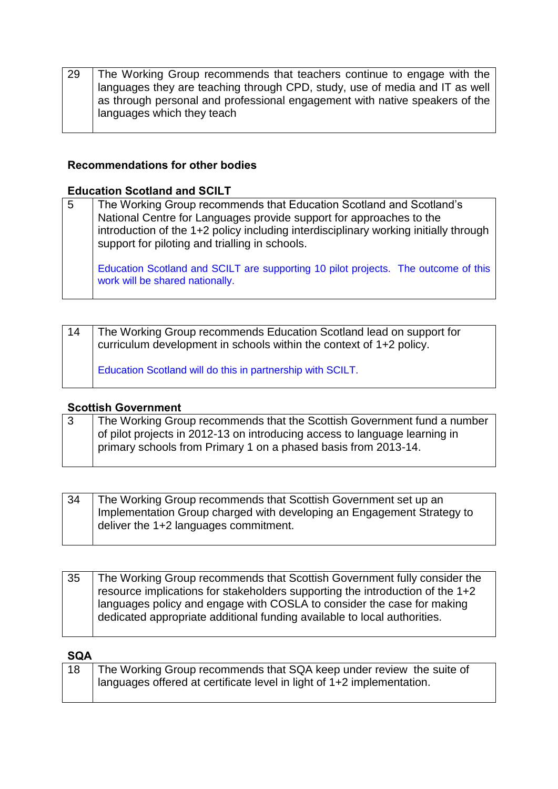| 29 | The Working Group recommends that teachers continue to engage with the      |
|----|-----------------------------------------------------------------------------|
|    | languages they are teaching through CPD, study, use of media and IT as well |
|    | as through personal and professional engagement with native speakers of the |
|    | languages which they teach                                                  |

#### **Recommendations for other bodies**

#### **Education Scotland and SCILT**

| 5 | The Working Group recommends that Education Scotland and Scotland's<br>National Centre for Languages provide support for approaches to the<br>introduction of the 1+2 policy including interdisciplinary working initially through<br>support for piloting and trialling in schools. |
|---|--------------------------------------------------------------------------------------------------------------------------------------------------------------------------------------------------------------------------------------------------------------------------------------|
|   | Education Scotland and SCILT are supporting 10 pilot projects. The outcome of this<br>work will be shared nationally.                                                                                                                                                                |

| 14 | The Working Group recommends Education Scotland lead on support for<br>curriculum development in schools within the context of 1+2 policy. |
|----|--------------------------------------------------------------------------------------------------------------------------------------------|
|    | Education Scotland will do this in partnership with SCILT.                                                                                 |

#### **Scottish Government**

|  | The Working Group recommends that the Scottish Government fund a number    |
|--|----------------------------------------------------------------------------|
|  | of pilot projects in 2012-13 on introducing access to language learning in |
|  | primary schools from Primary 1 on a phased basis from 2013-14.             |
|  |                                                                            |

| 34 | The Working Group recommends that Scottish Government set up an        |
|----|------------------------------------------------------------------------|
|    | Implementation Group charged with developing an Engagement Strategy to |
|    | deliver the 1+2 languages commitment.                                  |
|    |                                                                        |

| 35 | The Working Group recommends that Scottish Government fully consider the<br>resource implications for stakeholders supporting the introduction of the 1+2 |
|----|-----------------------------------------------------------------------------------------------------------------------------------------------------------|
|    | languages policy and engage with COSLA to consider the case for making<br>dedicated appropriate additional funding available to local authorities.        |

#### **SQA**

| The Working Group recommends that SQA keep under review the suite of   |
|------------------------------------------------------------------------|
| languages offered at certificate level in light of 1+2 implementation. |
|                                                                        |